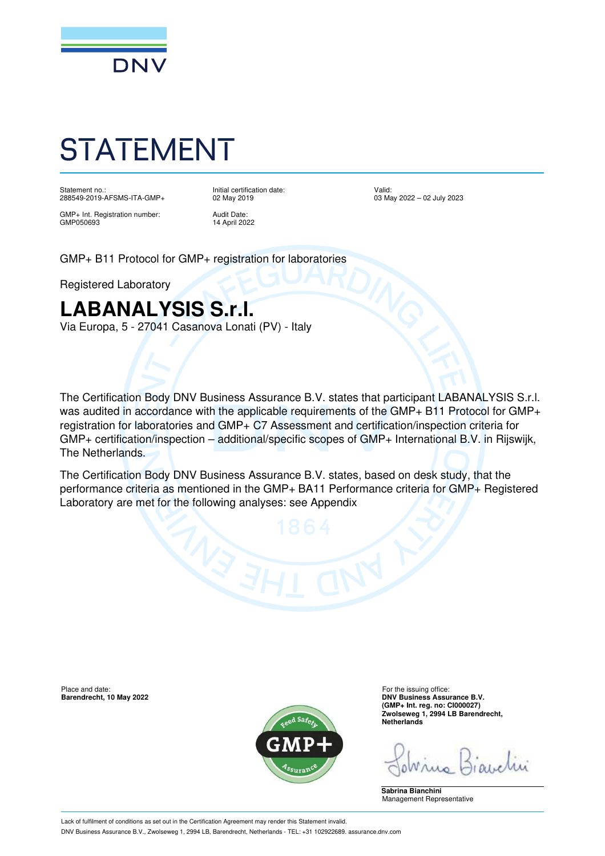

# STATEMENT

Statement no.: 288549-2019-AFSMS-ITA-GMP+ Initial certification date: 02 May 2019

GMP+ Int. Registration number: GMP050693

Audit Date: 14 April 2022 Valid: 03 May 2022 – 02 July 2023

GMP+ B11 Protocol for GMP+ registration for laboratories

Registered Laboratory

### **LABANALYSIS S.r.l.**

Via Europa, 5 - 27041 Casanova Lonati (PV) - Italy

The Certification Body DNV Business Assurance B.V. states that participant LABANALYSIS S.r.l. was audited in accordance with the applicable requirements of the GMP+ B11 Protocol for GMP+ registration for laboratories and GMP+ C7 Assessment and certification/inspection criteria for GMP+ certification/inspection – additional/specific scopes of GMP+ International B.V. in Rijswijk, The Netherlands.

The Certification Body DNV Business Assurance B.V. states, based on desk study, that the performance criteria as mentioned in the GMP+ BA11 Performance criteria for GMP+ Registered Laboratory are met for the following analyses: see Appendix

**Barendrecht, 10 May 2022** 



Place and date:<br> **Place and date:** For the issuing office:<br> **Barendrecht. 10 May 2022**<br> **Place and date:** For the issuing office: **(GMP+ Int. reg. no: CI000027) Zwolseweg 1, 2994 LB Barendrecht, Netherlands**

**Sabrina Bianchini** Management Representative

Lack of fulfilment of conditions as set out in the Certification Agreement may render this Statement invalid. DNV Business Assurance B.V., Zwolseweg 1, 2994 LB, Barendrecht, Netherlands - TEL: +31 102922689. assurance.dnv.com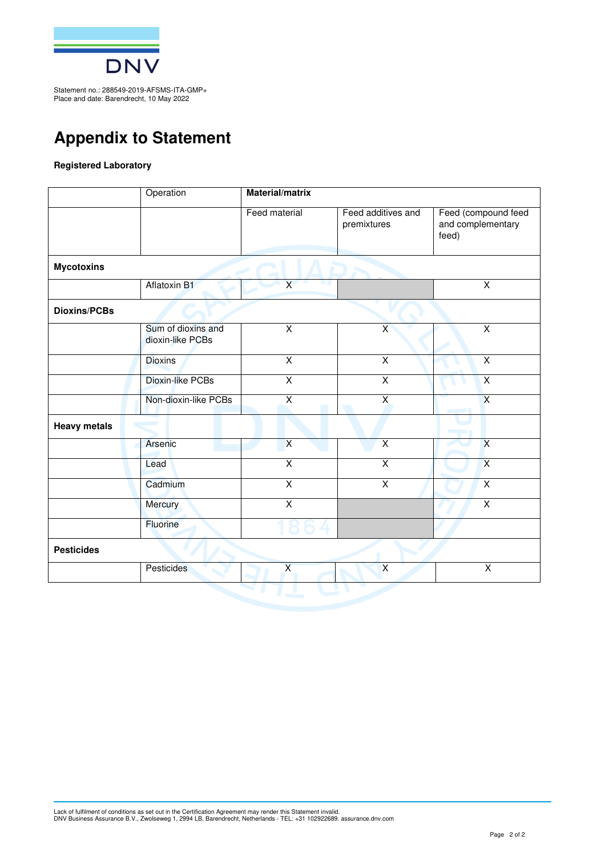

Statement no.: 288549-2019-AFSMS-ITA-GMP+ Place and date: Barendrecht, 10 May 2022

### **Appendix to Statement**

#### **Registered Laboratory**

| Aflatoxin B1<br>Sum of dioxins and<br>dioxin-like PCBs | Feed material<br>$\overline{\mathsf{X}}$<br>$\overline{\mathsf{x}}$ | Feed additives and<br>premixtures<br>$\overline{\mathsf{x}}$ | Feed (compound feed<br>and complementary<br>feed)<br>$\overline{\mathsf{x}}$ |
|--------------------------------------------------------|---------------------------------------------------------------------|--------------------------------------------------------------|------------------------------------------------------------------------------|
|                                                        |                                                                     |                                                              |                                                                              |
|                                                        |                                                                     |                                                              |                                                                              |
|                                                        |                                                                     |                                                              |                                                                              |
|                                                        |                                                                     |                                                              |                                                                              |
|                                                        |                                                                     |                                                              | $\overline{X}$                                                               |
| <b>Dioxins</b>                                         | $\overline{\mathsf{x}}$                                             | $\overline{X}$                                               | $\overline{X}$                                                               |
| Dioxin-like PCBs                                       | $\overline{X}$                                                      | $\overline{\mathsf{x}}$                                      | $\overline{X}$                                                               |
| Non-dioxin-like PCBs                                   | $\overline{X}$                                                      | $\overline{X}$                                               | $\overline{\mathsf{x}}$                                                      |
|                                                        |                                                                     |                                                              |                                                                              |
| Arsenic                                                | $\overline{X}$                                                      | $\overline{X}$                                               | $\overline{X}$                                                               |
|                                                        | $\overline{\mathsf{x}}$                                             | $\overline{X}$                                               | $\overline{X}$                                                               |
| Cadmium                                                | $\overline{\mathsf{x}}$                                             | $\overline{\mathsf{x}}$                                      | $\overline{X}$                                                               |
| Mercury                                                | $\overline{X}$                                                      |                                                              | $\overline{X}$                                                               |
| Fluorine                                               |                                                                     |                                                              |                                                                              |
|                                                        |                                                                     |                                                              |                                                                              |
|                                                        | $\overline{\mathsf{x}}$                                             | $\overline{\mathsf{x}}$                                      | $\overline{\mathsf{x}}$                                                      |
|                                                        | Pesticides                                                          |                                                              |                                                                              |